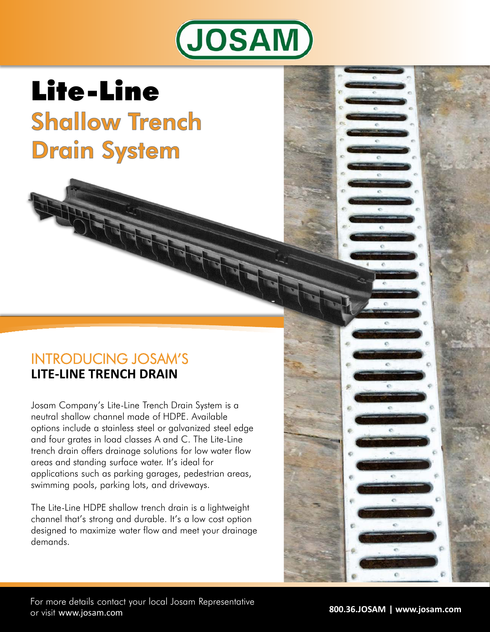

# Lite-Line **Shallow Trench Drain System**

## INTRODUCING JOSAM'S **LITE-LINE TRENCH DRAIN**

Josam Company's Lite-Line Trench Drain System is a neutral shallow channel made of HDPE. Available options include a stainless steel or galvanized steel edge and four grates in load classes A and C. The Lite-Line trench drain offers drainage solutions for low water flow areas and standing surface water. It's ideal for applications such as parking garages, pedestrian areas, swimming pools, parking lots, and driveways.

The Lite-Line HDPE shallow trench drain is a lightweight channel that's strong and durable. It's a low cost option designed to maximize water flow and meet your drainage demands.

ò.

ó